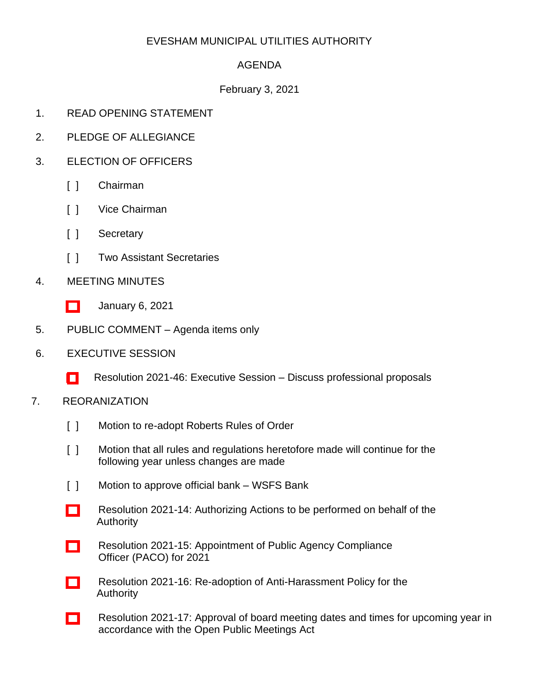### EVESHAM MUNICIPAL UTILITIES AUTHORITY

# AGENDA

### February 3, 2021

- 1. READ OPENING STATEMENT
- 2. PLEDGE OF ALLEGIANCE
- 3. ELECTION OF OFFICERS
	- [ ] Chairman
	- [ ] Vice Chairman
	- [ ] Secretary
	- [ ] Two Assistant Secretaries
- 4. MEETING MINUTES
	- [\[ \]](http://www.eveshammua.com/wp-content/uploads/2021/01/minutes-1-6-2021.pdf) January 6, 2021
- 5. PUBLIC COMMENT Agenda items only
- 6. EXECUTIVE SESSION
	- [ [\]](http://www.eveshammua.com/wp-content/uploads/2021/01/Resolution-2021-46-Executive-Session-.pdf) Resolution 2021-46: Executive Session Discuss professional proposals
- 7. REORANIZATION
	- [ ] Motion to re-adopt Roberts Rules of Order
	- [ ] Motion that all rules and regulations heretofore made will continue for the following year unless changes are made
	- [ ] Motion to approve official bank WSFS Bank
	- [\[ \]](http://www.eveshammua.com/wp-content/uploads/2021/02/Resolution-2021-14-Authorization-actions-to-be-performed.pdf) Resolution 2021-14: Authorizing Actions to be performed on behalf of the Authority
	- [\[ \]](http://www.eveshammua.com/wp-content/uploads/2021/01/Resolution-2021-15-PACO-Officer-Appt.pdf) Resolution 2021-15: Appointment of Public Agency Compliance Officer (PACO) for 2021
	- [\[ \]](http://www.eveshammua.com/wp-content/uploads/2021/01/Resolution-2021-16-Anti-Harrass-Resolution.pdf) Resolution 2021-16: Re-adoption of Anti-Harassment Policy for the Authority
	- [\[ \]](http://www.eveshammua.com/wp-content/uploads/2021/01/Resolution-2021-17-Open-Public-Meetings-Act-Resolution.pdf) Resolution 2021-17: Approval of board meeting dates and times for upcoming year in accordance with the Open Public Meetings Act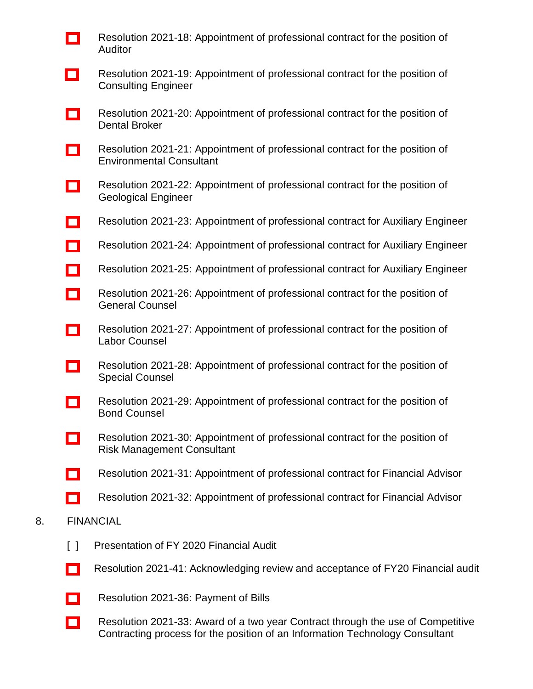- [\[ \]](http://www.eveshammua.com/wp-content/uploads/2021/01/Resolution-2021-18-Auditor.pdf) Resolution 2021-18: Appointment of professional contract for the position of Auditor
- [\[ \]](http://www.eveshammua.com/wp-content/uploads/2021/01/Resolution-2021-19-Consulting-Engineer.pdf) Resolution 2021-19: Appointment of professional contract for the position of Consulting Engineer
- [\[ \]](http://www.eveshammua.com/wp-content/uploads/2021/01/Resolution-2021-20-Dental-Broker.pdf) Resolution 2021-20: Appointment of professional contract for the position of Dental Broker
- [\[ \]](http://www.eveshammua.com/wp-content/uploads/2021/01/Resolution-2021-21-Environmental-Consutant.pdf) Resolution 2021-21: Appointment of professional contract for the position of Environmental Consultant
- [\[ \]](http://www.eveshammua.com/wp-content/uploads/2021/01/Resolution-2021-22-Geological-Engineer.pdf) Resolution 2021-22: Appointment of professional contract for the position of Geological Engineer
- [\[ \]](http://www.eveshammua.com/wp-content/uploads/2021/01/Resolution-2021-23-Auxiliary-Engineer-T-M.pdf) Resolution 2021-23: Appointment of professional contract for Auxiliary Engineer
- [\[ \]](http://www.eveshammua.com/wp-content/uploads/2021/01/Resolution-2021-24-Auxiliary-Engineer-CME-Assoc.pdf) Resolution 2021-24: Appointment of professional contract for Auxiliary Engineer
- [\[ \]](http://www.eveshammua.com/wp-content/uploads/2021/01/Resolution-2021-25-Auxiliary-Engineer-ENVIRONMENTAL-RESOLUTIONS-INC.-.pdf) Resolution 2021-25: Appointment of professional contract for Auxiliary Engineer
- [\[ \]](http://www.eveshammua.com/wp-content/uploads/2021/01/Resolution-2021-26-General-Counsel.pdf) Resolution 2021-26: Appointment of professional contract for the position of General Counsel
- [\[ \]](http://www.eveshammua.com/wp-content/uploads/2021/01/Resolution-2021-27-Labor-Counsel.pdf) Resolution 2021-27: Appointment of professional contract for the position of Labor Counsel
- [\[ \]](http://www.eveshammua.com/wp-content/uploads/2021/01/Resolution-2021-28-Special-Counsel.pdf) Resolution 2021-28: Appointment of professional contract for the position of Special Counsel
- [\[ \]](http://www.eveshammua.com/wp-content/uploads/2021/01/Resolution-2021-29-Bond-Counsel.pdf) Resolution 2021-29: Appointment of professional contract for the position of Bond Counsel
- [\[ \]](http://www.eveshammua.com/wp-content/uploads/2021/01/Resolution-2021-30-Risk-Management.pdf) Resolution 2021-30: Appointment of professional contract for the position of Risk Management Consultant
- [\[ \]](http://www.eveshammua.com/wp-content/uploads/2021/01/Resolution-2021-31-Finanacial-Advisor-Acacia.pdf) Resolution 2021-31: Appointment of professional contract for Financial Advisor
- [\[ \]](http://www.eveshammua.com/wp-content/uploads/2021/01/Resolution-2021-32-Financial-Advisor-N.W.pdf) Resolution 2021-32: Appointment of professional contract for Financial Advisor

#### 8. FINANCIAL

- [ ] Presentation of FY 2020 Financial Audit
- [\[ \]](http://www.eveshammua.com/wp-content/uploads/2021/01/Resolution-2021-41-Audit-Report.pdf) Resolution 2021-41: Acknowledging review and acceptance of FY20 Financial audit
- [\[ \]](http://www.eveshammua.com/wp-content/uploads/2021/01/Resolution-2021-36-January-Bill-List.pdf) Resolution 2021-36: Payment of Bills
- [\[ \]](http://www.eveshammua.com/wp-content/uploads/2021/02/Resolution-2021-33-IT-Consultant-Public.pdf) Resolution 2021-33: Award of a two year Contract through the use of Competitive Contracting process for the position of an Information Technology Consultant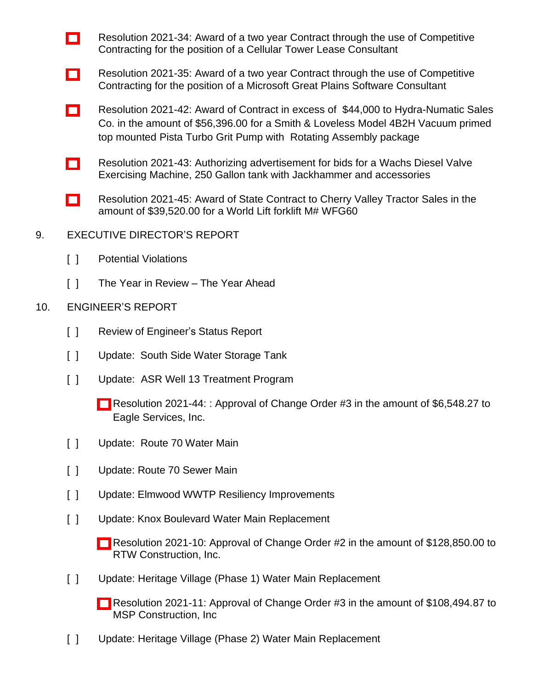- [\[ \]](http://www.eveshammua.com/wp-content/uploads/2021/02/Resolution-2021-34-Cellular-Lease-Consultant-Contract-Public.pdf) Resolution 2021-34: Award of a two year Contract through the use of Competitive Contracting for the position of a Cellular Tower Lease Consultant
- [\[ \]](http://www.eveshammua.com/wp-content/uploads/2021/02/Resolution-2021-35-GP-Support-Consultant-Public.pdf) Resolution 2021-35: Award of a two year Contract through the use of Competitive Contracting for the position of a Microsoft Great Plains Software Consultant
- [\[ \]](http://www.eveshammua.com/wp-content/uploads/2021/01/Resolution-2021-42-Hydra-Numatic-Sales-Grit-Pump.pdf) Resolution 2021-42: Award of Contract in excess of \$44,000 to Hydra-Numatic Sales Co. in the amount of \$56,396.00 for a Smith & Loveless Model 4B2H Vacuum primed top mounted Pista Turbo Grit Pump with Rotating Assembly package
- [\[ \]](http://www.eveshammua.com/wp-content/uploads/2021/01/Resolution-2021-43-Authorize-advertisement-for-Bids-Valve.pdf) Resolution 2021-43: Authorizing advertisement for bids for a Wachs Diesel Valve Exercising Machine, 250 Gallon tank with Jackhammer and accessories
- [\[ \]](http://www.eveshammua.com/wp-content/uploads/2021/02/Resolution-2021-45-Cherry-Valley-Tractor-State-Contract.pdf) Resolution 2021-45: Award of State Contract to Cherry Valley Tractor Sales in the amount of \$39,520.00 for a World Lift forklift M# WFG60
- 9. EXECUTIVE DIRECTOR'S REPORT
	- [ ] Potential Violations
	- [ ] The Year in Review The Year Ahead
- 10. ENGINEER'S REPORT
	- [ ] Review of Engineer's Status Report
	- [ ] Update: South Side Water Storage Tank
	- [ ] Update: ASR Well 13 Treatment Program
		- [\[ \]](http://www.eveshammua.com/wp-content/uploads/2021/01/Resolution-2021-44-ASR-Well-No.-13-Change-order3.pdf) Resolution 2021-44: : Approval of Change Order #3 in the amount of \$6,548.27 to Eagle Services, Inc.
	- [ ] Update: Route 70 Water Main
	- [ ] Update: Route 70 Sewer Main
	- [ ] Update: Elmwood WWTP Resiliency Improvements
	- [ ] Update: Knox Boulevard Water Main Replacement
		- [\[ \]](http://www.eveshammua.com/wp-content/uploads/2021/02/Resolution-2021-10-RTW-Change-Order-No.-2.pdf) Resolution 2021-10: Approval of Change Order #2 in the amount of \$128,850.00 to RTW Construction, Inc.
	- [ ] Update: Heritage Village (Phase 1) Water Main Replacement
		- [\[ \]](http://www.eveshammua.com/wp-content/uploads/2021/02/Resolution-2021-11-MSP-Change-Order-3.pdf) Resolution 2021-11: Approval of Change Order #3 in the amount of \$108,494.87 to MSP Construction, Inc
	- [] Update: Heritage Village (Phase 2) Water Main Replacement